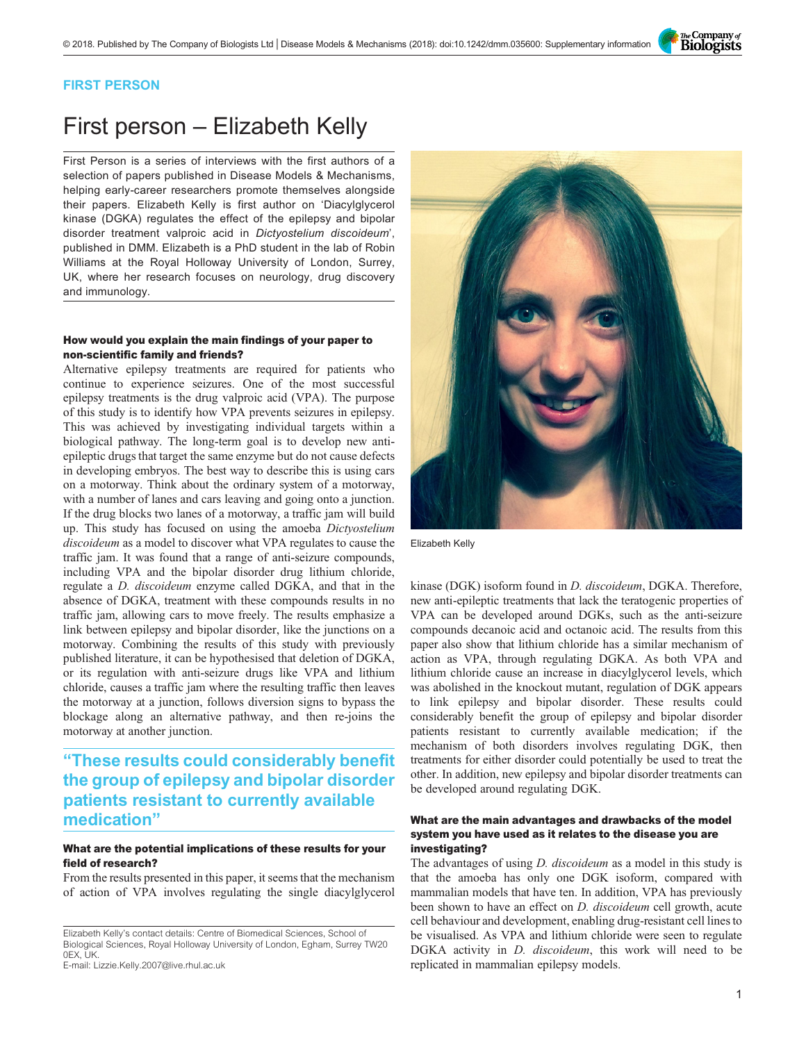The Company of<br>**Biologists** 

# FIRST PERSON

# First person – Elizabeth Kelly

First Person is a series of interviews with the first authors of a selection of papers published in Disease Models & Mechanisms, helping early-career researchers promote themselves alongside their papers. Elizabeth Kelly is first author on '[Diacylglycerol](#page-1-0) [kinase \(DGKA\) regulates the effect of the epilepsy and bipolar](#page-1-0) [disorder treatment valproic acid in](#page-1-0) Dictyostelium discoideum', published in DMM. Elizabeth is a PhD student in the lab of Robin Williams at the Royal Holloway University of London, Surrey, UK, where her research focuses on neurology, drug discovery and immunology.

# How would you explain the main findings of your paper to non-scientific family and friends?

Alternative epilepsy treatments are required for patients who continue to experience seizures. One of the most successful epilepsy treatments is the drug valproic acid (VPA). The purpose of this study is to identify how VPA prevents seizures in epilepsy. This was achieved by investigating individual targets within a biological pathway. The long-term goal is to develop new antiepileptic drugs that target the same enzyme but do not cause defects in developing embryos. The best way to describe this is using cars on a motorway. Think about the ordinary system of a motorway, with a number of lanes and cars leaving and going onto a junction. If the drug blocks two lanes of a motorway, a traffic jam will build up. This study has focused on using the amoeba Dictyostelium discoideum as a model to discover what VPA regulates to cause the traffic jam. It was found that a range of anti-seizure compounds, including VPA and the bipolar disorder drug lithium chloride, regulate a D. discoideum enzyme called DGKA, and that in the absence of DGKA, treatment with these compounds results in no traffic jam, allowing cars to move freely. The results emphasize a link between epilepsy and bipolar disorder, like the junctions on a motorway. Combining the results of this study with previously published literature, it can be hypothesised that deletion of DGKA, or its regulation with anti-seizure drugs like VPA and lithium chloride, causes a traffic jam where the resulting traffic then leaves the motorway at a junction, follows diversion signs to bypass the blockage along an alternative pathway, and then re-joins the motorway at another junction.

# "These results could considerably benefit the group of epilepsy and bipolar disorder patients resistant to currently available medication"

# What are the potential implications of these results for your field of research?

From the results presented in this paper, it seems that the mechanism of action of VPA involves regulating the single diacylglycerol

E-mail: [Lizzie.Kelly.2007@live.rhul.ac.uk](mailto:Lizzie.Kelly.2007@live.rhul.ac.uk)



Elizabeth Kelly

kinase (DGK) isoform found in D. discoideum, DGKA. Therefore, new anti-epileptic treatments that lack the teratogenic properties of VPA can be developed around DGKs, such as the anti-seizure compounds decanoic acid and octanoic acid. The results from this paper also show that lithium chloride has a similar mechanism of action as VPA, through regulating DGKA. As both VPA and lithium chloride cause an increase in diacylglycerol levels, which was abolished in the knockout mutant, regulation of DGK appears to link epilepsy and bipolar disorder. These results could considerably benefit the group of epilepsy and bipolar disorder patients resistant to currently available medication; if the mechanism of both disorders involves regulating DGK, then treatments for either disorder could potentially be used to treat the other. In addition, new epilepsy and bipolar disorder treatments can be developed around regulating DGK.

#### What are the main advantages and drawbacks of the model system you have used as it relates to the disease you are investigating?

The advantages of using *D. discoideum* as a model in this study is that the amoeba has only one DGK isoform, compared with mammalian models that have ten. In addition, VPA has previously been shown to have an effect on *D. discoideum* cell growth, acute cell behaviour and development, enabling drug-resistant cell lines to be visualised. As VPA and lithium chloride were seen to regulate DGKA activity in *D. discoideum*, this work will need to be replicated in mammalian epilepsy models.

Elizabeth Kelly's contact details: Centre of Biomedical Sciences, School of Biological Sciences, Royal Holloway University of London, Egham, Surrey TW20 0EX, UK.